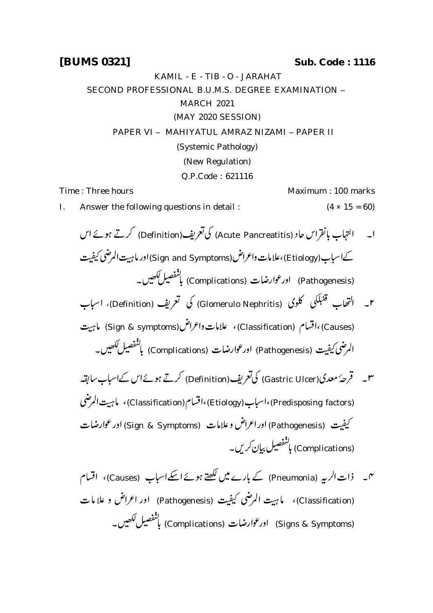KAMIL - E - TIB - O - JARAHAT SECOND PROFESSIONAL B.U.M.S. DEGREE EXAMINATION -MARCH 2021 (MAY 2020 SESSION) PAPER VI - MAHIYATUL AMRAZ NIZAMI - PAPER II (Systemic Pathology) (New Regulation) Q.P.Code : 621116

Time : Three hours Maximum : 100 marks

I. Answer the following questions in detail :  $(4 \times 15 = 60)$ 

- (Definition) (Acute Pancreatitis) کےاسباب(Etiology)،علامات واعراض (Sign and Symptoms) اور ماہیت المرضی کیفیت (Pathogenesis) اورعوارضات (Complications) بانفصیل لکھیں۔ کلوک (Glomerulo Nephritis) کی گعریف (Definition)، اسباب قنبلكى  $\overline{\mathcal{L}}$ .<br>มั ٢۔ التھاب قنبَا (Causes) ،اقسام (Classification)) ، علامات واعراض (Sign & symptoms) ماہیت الرضي كيفيت (Pathogenesis) اورعوارضات (Complications) بالنفصيل ككھيں۔ ۳۔ قرحۂ معدی(Gastric Ulcer) کیاتعریف(Definition) کرتے ہوئےاس کےاسیاب سابقہ (Predisposing factors)،اسباب (Etiology)،اقسام (Classification)، ماہیت المرضی كيفيت (Pathogenesis) اوراعراض وعلامات (Sign & Symptoms) اور عوارضات (Complications) ماننفصیل بیان کریں۔
- س فرات الربہ (Pneumonia) کے بارے میں لکھتے ہوئے اسکےاسباب (Causes)، اقسام (Classification)، ما ہیت المرضی کیفیت (Pathogenesis) اور اعراض و علامات (Signs & Symptoms) اورعوارضات (Complications) بالنفصيل لكھيں۔